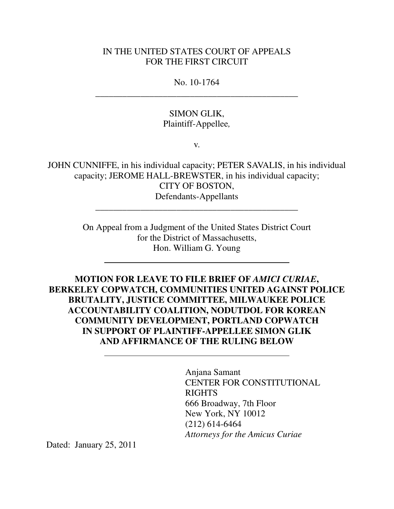## IN THE UNITED STATES COURT OF APPEALS FOR THE FIRST CIRCUIT

No. 10-1764 \_\_\_\_\_\_\_\_\_\_\_\_\_\_\_\_\_\_\_\_\_\_\_\_\_\_\_\_\_\_\_\_\_\_\_\_\_\_\_\_\_\_\_\_\_

> SIMON GLIK, Plaintiff-Appellee*,*

> > v.

JOHN CUNNIFFE, in his individual capacity; PETER SAVALIS, in his individual capacity; JEROME HALL-BREWSTER, in his individual capacity; CITY OF BOSTON, Defendants-Appellants

\_\_\_\_\_\_\_\_\_\_\_\_\_\_\_\_\_\_\_\_\_\_\_\_\_\_\_\_\_\_\_\_\_\_\_\_\_\_\_\_\_\_\_\_\_

On Appeal from a Judgment of the United States District Court for the District of Massachusetts, Hon. William G. Young

**MOTION FOR LEAVE TO FILE BRIEF OF** *AMICI CURIAE***, BERKELEY COPWATCH, COMMUNITIES UNITED AGAINST POLICE BRUTALITY, JUSTICE COMMITTEE, MILWAUKEE POLICE ACCOUNTABILITY COALITION, NODUTDOL FOR KOREAN COMMUNITY DEVELOPMENT, PORTLAND COPWATCH IN SUPPORT OF PLAINTIFF-APPELLEE SIMON GLIK AND AFFIRMANCE OF THE RULING BELOW**

> Anjana Samant CENTER FOR CONSTITUTIONAL RIGHTS 666 Broadway, 7th Floor New York, NY 10012 (212) 614-6464 *Attorneys for the Amicus Curiae*

Dated: January 25, 2011

 $\overline{a}$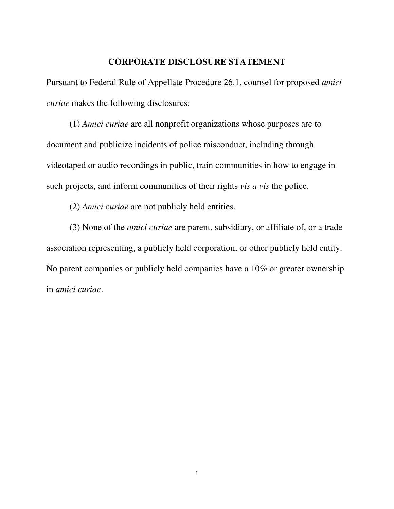## **CORPORATE DISCLOSURE STATEMENT**

Pursuant to Federal Rule of Appellate Procedure 26.1, counsel for proposed *amici curiae* makes the following disclosures:

(1) *Amici curiae* are all nonprofit organizations whose purposes are to document and publicize incidents of police misconduct, including through videotaped or audio recordings in public, train communities in how to engage in such projects, and inform communities of their rights *vis a vis* the police.

(2) *Amici curiae* are not publicly held entities.

(3) None of the *amici curiae* are parent, subsidiary, or affiliate of, or a trade association representing, a publicly held corporation, or other publicly held entity. No parent companies or publicly held companies have a 10% or greater ownership in *amici curiae*.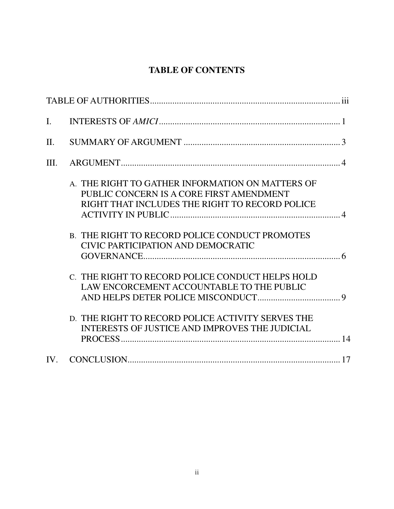# **TABLE OF CONTENTS**

| $\mathbf{I}$ . |                                                                                                                                                |  |
|----------------|------------------------------------------------------------------------------------------------------------------------------------------------|--|
| $\Pi$ .        |                                                                                                                                                |  |
| III.           |                                                                                                                                                |  |
|                | A. THE RIGHT TO GATHER INFORMATION ON MATTERS OF<br>PUBLIC CONCERN IS A CORE FIRST AMENDMENT<br>RIGHT THAT INCLUDES THE RIGHT TO RECORD POLICE |  |
|                | <b>B. THE RIGHT TO RECORD POLICE CONDUCT PROMOTES</b><br>CIVIC PARTICIPATION AND DEMOCRATIC                                                    |  |
|                | C. THE RIGHT TO RECORD POLICE CONDUCT HELPS HOLD<br>LAW ENCORCEMENT ACCOUNTABLE TO THE PUBLIC                                                  |  |
|                | D. THE RIGHT TO RECORD POLICE ACTIVITY SERVES THE<br><b>INTERESTS OF JUSTICE AND IMPROVES THE JUDICIAL</b>                                     |  |
| IV.            |                                                                                                                                                |  |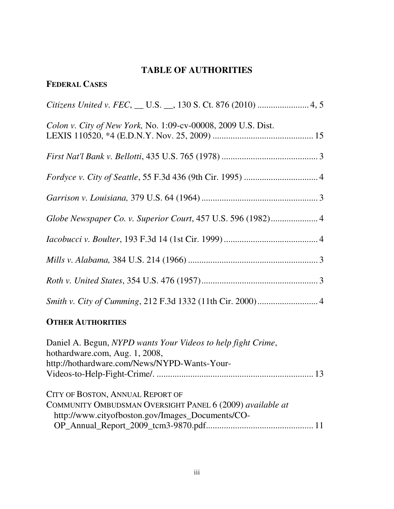# **TABLE OF AUTHORITIES**

# **FEDERAL CASES**

| Colon v. City of New York, No. 1:09-cv-00008, 2009 U.S. Dist. |  |
|---------------------------------------------------------------|--|
|                                                               |  |
|                                                               |  |
|                                                               |  |
|                                                               |  |
|                                                               |  |
|                                                               |  |
|                                                               |  |
|                                                               |  |

# **OTHER AUTHORITIES**

| Daniel A. Begun, NYPD wants Your Videos to help fight Crime,<br>hothardware.com, Aug. 1, 2008,<br>http://hothardware.com/News/NYPD-Wants-Your-    |
|---------------------------------------------------------------------------------------------------------------------------------------------------|
| CITY OF BOSTON, ANNUAL REPORT OF<br>COMMUNITY OMBUDSMAN OVERSIGHT PANEL 6 (2009) available at<br>http://www.cityofboston.gov/Images_Documents/CO- |
|                                                                                                                                                   |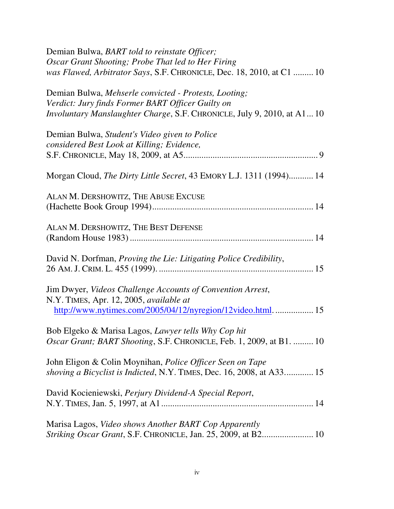| Oscar Grant Shooting; Probe That led to Her Firing                            |
|-------------------------------------------------------------------------------|
|                                                                               |
| was Flawed, Arbitrator Says, S.F. CHRONICLE, Dec. 18, 2010, at C1  10         |
| Demian Bulwa, Mehserle convicted - Protests, Looting;                         |
| Verdict: Jury finds Former BART Officer Guilty on                             |
| <i>Involuntary Manslaughter Charge, S.F. CHRONICLE, July 9, 2010, at A110</i> |
| Demian Bulwa, Student's Video given to Police                                 |
| considered Best Look at Killing; Evidence,                                    |
|                                                                               |
|                                                                               |
| Morgan Cloud, <i>The Dirty Little Secret</i> , 43 EMORY L.J. 1311 (1994) 14   |
| ALAN M. DERSHOWITZ, THE ABUSE EXCUSE                                          |
|                                                                               |
| ALAN M. DERSHOWITZ, THE BEST DEFENSE                                          |
|                                                                               |
|                                                                               |
| David N. Dorfman, Proving the Lie: Litigating Police Credibility,             |
|                                                                               |
| Jim Dwyer, Videos Challenge Accounts of Convention Arrest,                    |
| N.Y. TIMES, Apr. 12, 2005, available at                                       |
| http://www.nytimes.com/2005/04/12/nyregion/12video.html 15                    |
| Bob Elgeko & Marisa Lagos, Lawyer tells Why Cop hit                           |
| Oscar Grant; BART Shooting, S.F. CHRONICLE, Feb. 1, 2009, at B1.  10          |
|                                                                               |
| John Eligon & Colin Moynihan, Police Officer Seen on Tape                     |
| shoving a Bicyclist is Indicted, N.Y. TIMES, Dec. 16, 2008, at A33 15         |
| David Kocieniewski, Perjury Dividend-A Special Report,                        |
|                                                                               |
| Marisa Lagos, Video shows Another BART Cop Apparently                         |
| Striking Oscar Grant, S.F. CHRONICLE, Jan. 25, 2009, at B2 10                 |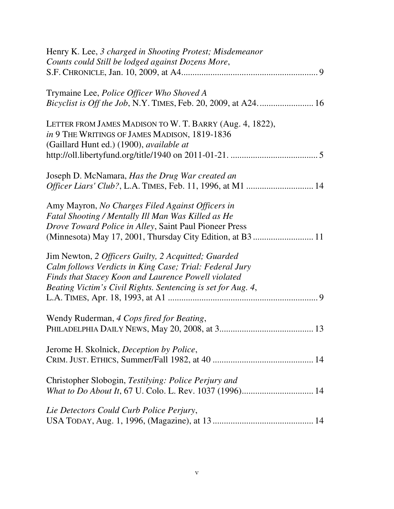| Henry K. Lee, 3 charged in Shooting Protest; Misdemeanor<br>Counts could Still be lodged against Dozens More,                                                                                                                         |
|---------------------------------------------------------------------------------------------------------------------------------------------------------------------------------------------------------------------------------------|
| Trymaine Lee, Police Officer Who Shoved A                                                                                                                                                                                             |
| LETTER FROM JAMES MADISON TO W. T. BARRY (Aug. 4, 1822),<br>in 9 THE WRITINGS OF JAMES MADISON, 1819-1836<br>(Gaillard Hunt ed.) (1900), available at                                                                                 |
| Joseph D. McNamara, Has the Drug War created an                                                                                                                                                                                       |
| Amy Mayron, No Charges Filed Against Officers in<br>Fatal Shooting / Mentally Ill Man Was Killed as He<br>Drove Toward Police in Alley, Saint Paul Pioneer Press                                                                      |
| Jim Newton, 2 Officers Guilty, 2 Acquitted; Guarded<br>Calm follows Verdicts in King Case; Trial: Federal Jury<br>Finds that Stacey Koon and Laurence Powell violated<br>Beating Victim's Civil Rights. Sentencing is set for Aug. 4, |
| Wendy Ruderman, 4 Cops fired for Beating,                                                                                                                                                                                             |
| Jerome H. Skolnick, <i>Deception by Police</i> ,                                                                                                                                                                                      |
| Christopher Slobogin, Testilying: Police Perjury and                                                                                                                                                                                  |
| Lie Detectors Could Curb Police Perjury,                                                                                                                                                                                              |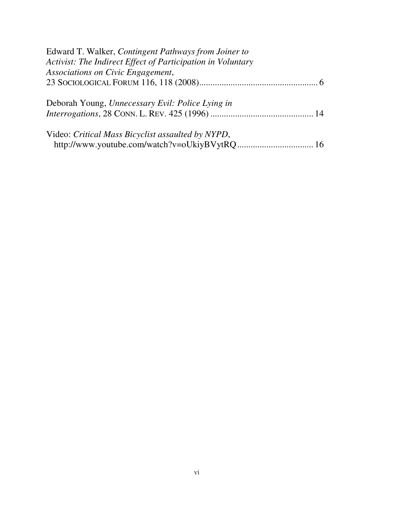| Edward T. Walker, Contingent Pathways from Joiner to        |  |
|-------------------------------------------------------------|--|
| Activist: The Indirect Effect of Participation in Voluntary |  |
| Associations on Civic Engagement,                           |  |
|                                                             |  |
| Deborah Young, Unnecessary Evil: Police Lying in            |  |
|                                                             |  |
| Video: Critical Mass Bicyclist assaulted by NYPD,           |  |
|                                                             |  |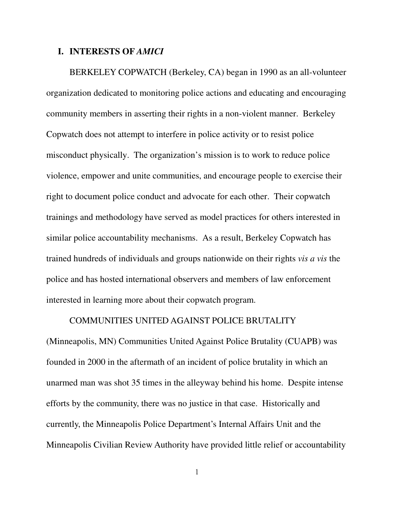## **I. INTERESTS OF** *AMICI*

BERKELEY COPWATCH (Berkeley, CA) began in 1990 as an all-volunteer organization dedicated to monitoring police actions and educating and encouraging community members in asserting their rights in a non-violent manner. Berkeley Copwatch does not attempt to interfere in police activity or to resist police misconduct physically. The organization's mission is to work to reduce police violence, empower and unite communities, and encourage people to exercise their right to document police conduct and advocate for each other. Their copwatch trainings and methodology have served as model practices for others interested in similar police accountability mechanisms. As a result, Berkeley Copwatch has trained hundreds of individuals and groups nationwide on their rights *vis a vis* the police and has hosted international observers and members of law enforcement interested in learning more about their copwatch program.

## COMMUNITIES UNITED AGAINST POLICE BRUTALITY

(Minneapolis, MN) Communities United Against Police Brutality (CUAPB) was founded in 2000 in the aftermath of an incident of police brutality in which an unarmed man was shot 35 times in the alleyway behind his home. Despite intense efforts by the community, there was no justice in that case. Historically and currently, the Minneapolis Police Department's Internal Affairs Unit and the Minneapolis Civilian Review Authority have provided little relief or accountability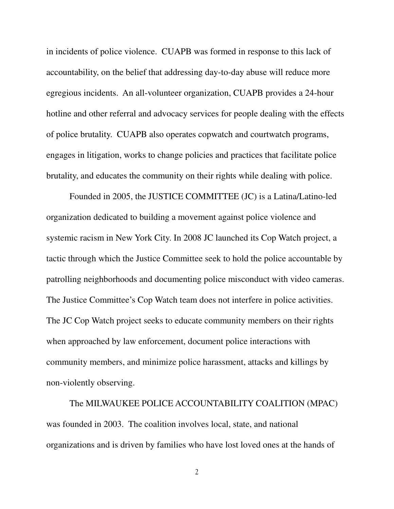in incidents of police violence. CUAPB was formed in response to this lack of accountability, on the belief that addressing day-to-day abuse will reduce more egregious incidents. An all-volunteer organization, CUAPB provides a 24-hour hotline and other referral and advocacy services for people dealing with the effects of police brutality. CUAPB also operates copwatch and courtwatch programs, engages in litigation, works to change policies and practices that facilitate police brutality, and educates the community on their rights while dealing with police.

Founded in 2005, the JUSTICE COMMITTEE (JC) is a Latina/Latino-led organization dedicated to building a movement against police violence and systemic racism in New York City. In 2008 JC launched its Cop Watch project, a tactic through which the Justice Committee seek to hold the police accountable by patrolling neighborhoods and documenting police misconduct with video cameras. The Justice Committee's Cop Watch team does not interfere in police activities. The JC Cop Watch project seeks to educate community members on their rights when approached by law enforcement, document police interactions with community members, and minimize police harassment, attacks and killings by non-violently observing.

The MILWAUKEE POLICE ACCOUNTABILITY COALITION (MPAC) was founded in 2003. The coalition involves local, state, and national organizations and is driven by families who have lost loved ones at the hands of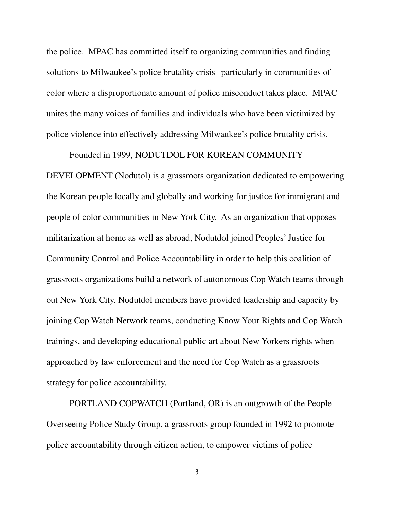the police. MPAC has committed itself to organizing communities and finding solutions to Milwaukee's police brutality crisis--particularly in communities of color where a disproportionate amount of police misconduct takes place. MPAC unites the many voices of families and individuals who have been victimized by police violence into effectively addressing Milwaukee's police brutality crisis.

Founded in 1999, NODUTDOL FOR KOREAN COMMUNITY DEVELOPMENT (Nodutol) is a grassroots organization dedicated to empowering the Korean people locally and globally and working for justice for immigrant and people of color communities in New York City. As an organization that opposes militarization at home as well as abroad, Nodutdol joined Peoples' Justice for Community Control and Police Accountability in order to help this coalition of grassroots organizations build a network of autonomous Cop Watch teams through out New York City. Nodutdol members have provided leadership and capacity by joining Cop Watch Network teams, conducting Know Your Rights and Cop Watch trainings, and developing educational public art about New Yorkers rights when approached by law enforcement and the need for Cop Watch as a grassroots strategy for police accountability.

PORTLAND COPWATCH (Portland, OR) is an outgrowth of the People Overseeing Police Study Group, a grassroots group founded in 1992 to promote police accountability through citizen action, to empower victims of police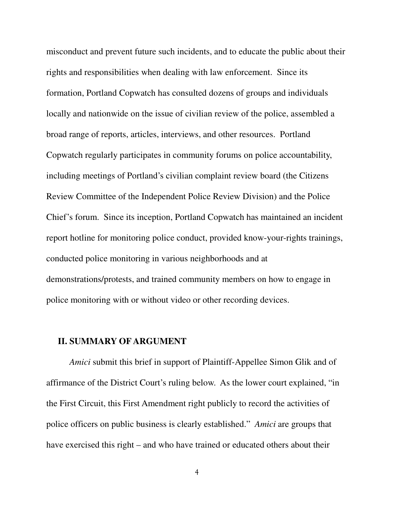misconduct and prevent future such incidents, and to educate the public about their rights and responsibilities when dealing with law enforcement. Since its formation, Portland Copwatch has consulted dozens of groups and individuals locally and nationwide on the issue of civilian review of the police, assembled a broad range of reports, articles, interviews, and other resources. Portland Copwatch regularly participates in community forums on police accountability, including meetings of Portland's civilian complaint review board (the Citizens Review Committee of the Independent Police Review Division) and the Police Chief's forum. Since its inception, Portland Copwatch has maintained an incident report hotline for monitoring police conduct, provided know-your-rights trainings, conducted police monitoring in various neighborhoods and at demonstrations/protests, and trained community members on how to engage in police monitoring with or without video or other recording devices.

## **II. SUMMARY OF ARGUMENT**

*Amici* submit this brief in support of Plaintiff-Appellee Simon Glik and of affirmance of the District Court's ruling below. As the lower court explained, "in the First Circuit, this First Amendment right publicly to record the activities of police officers on public business is clearly established." *Amici* are groups that have exercised this right – and who have trained or educated others about their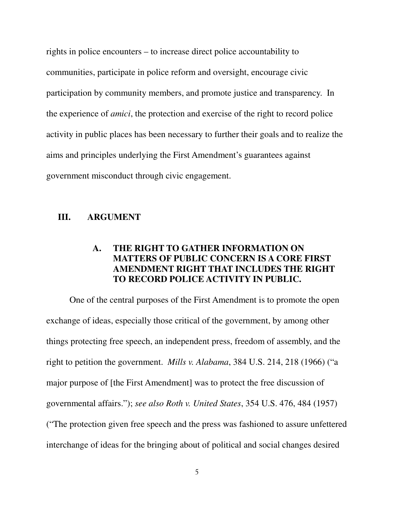rights in police encounters – to increase direct police accountability to communities, participate in police reform and oversight, encourage civic participation by community members, and promote justice and transparency. In the experience of *amici*, the protection and exercise of the right to record police activity in public places has been necessary to further their goals and to realize the aims and principles underlying the First Amendment's guarantees against government misconduct through civic engagement.

## **III. ARGUMENT**

## **A. THE RIGHT TO GATHER INFORMATION ON MATTERS OF PUBLIC CONCERN IS A CORE FIRST AMENDMENT RIGHT THAT INCLUDES THE RIGHT TO RECORD POLICE ACTIVITY IN PUBLIC.**

 One of the central purposes of the First Amendment is to promote the open exchange of ideas, especially those critical of the government, by among other things protecting free speech, an independent press, freedom of assembly, and the right to petition the government. *Mills v. Alabama*, 384 U.S. 214, 218 (1966) ("a major purpose of [the First Amendment] was to protect the free discussion of governmental affairs."); *see also Roth v. United States*, 354 U.S. 476, 484 (1957) ("The protection given free speech and the press was fashioned to assure unfettered interchange of ideas for the bringing about of political and social changes desired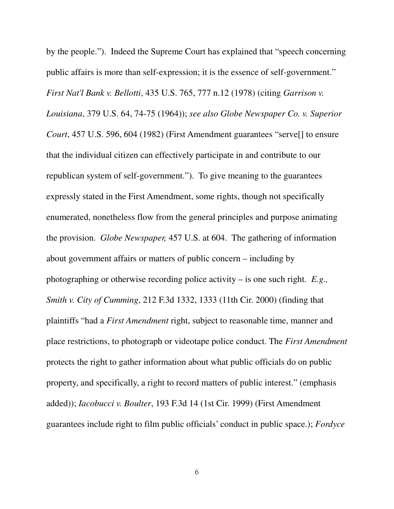by the people."). Indeed the Supreme Court has explained that "speech concerning public affairs is more than self-expression; it is the essence of self-government." *First Nat'l Bank v. Bellotti*, 435 U.S. 765, 777 n.12 (1978) (citing *Garrison v. Louisiana*, 379 U.S. 64, 74-75 (1964)); *see also Globe Newspaper Co. v. Superior Court*, 457 U.S. 596, 604 (1982) (First Amendment guarantees "serve[] to ensure that the individual citizen can effectively participate in and contribute to our republican system of self-government."). To give meaning to the guarantees expressly stated in the First Amendment, some rights, though not specifically enumerated, nonetheless flow from the general principles and purpose animating the provision. *Globe Newspaper,* 457 U.S. at 604. The gathering of information about government affairs or matters of public concern – including by photographing or otherwise recording police activity – is one such right. *E.g., Smith v. City of Cumming*, 212 F.3d 1332, 1333 (11th Cir. 2000) (finding that plaintiffs "had a *First Amendment* right, subject to reasonable time, manner and place restrictions, to photograph or videotape police conduct. The *First Amendment*  protects the right to gather information about what public officials do on public property, and specifically, a right to record matters of public interest." (emphasis added)); *Iacobucci v. Boulter*, 193 F.3d 14 (1st Cir. 1999) (First Amendment guarantees include right to film public officials' conduct in public space.); *Fordyce*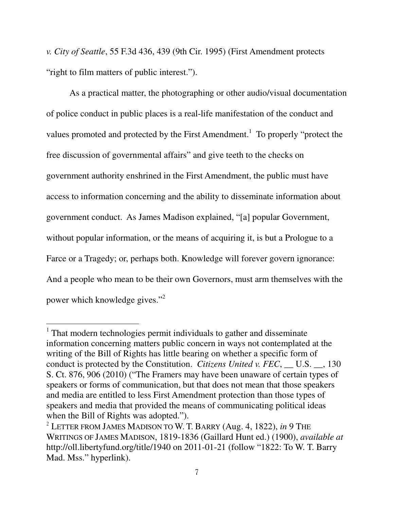*v. City of Seattle*, 55 F.3d 436, 439 (9th Cir. 1995) (First Amendment protects "right to film matters of public interest.").

As a practical matter, the photographing or other audio/visual documentation of police conduct in public places is a real-life manifestation of the conduct and values promoted and protected by the First Amendment.<sup>1</sup> To properly "protect the free discussion of governmental affairs" and give teeth to the checks on government authority enshrined in the First Amendment, the public must have access to information concerning and the ability to disseminate information about government conduct. As James Madison explained, "[a] popular Government, without popular information, or the means of acquiring it, is but a Prologue to a Farce or a Tragedy; or, perhaps both. Knowledge will forever govern ignorance: And a people who mean to be their own Governors, must arm themselves with the power which knowledge gives."<sup>2</sup>

<sup>&</sup>lt;sup>1</sup> That modern technologies permit individuals to gather and disseminate information concerning matters public concern in ways not contemplated at the writing of the Bill of Rights has little bearing on whether a specific form of conduct is protected by the Constitution. *Citizens United v. FEC*, U.S.  $\dot{\phantom{a}}$ , 130 S. Ct. 876, 906 (2010) ("The Framers may have been unaware of certain types of speakers or forms of communication, but that does not mean that those speakers and media are entitled to less First Amendment protection than those types of speakers and media that provided the means of communicating political ideas when the Bill of Rights was adopted.").

<sup>2</sup> LETTER FROM JAMES MADISON TO W. T. BARRY (Aug. 4, 1822), *in* 9 THE WRITINGS OF JAMES MADISON, 1819-1836 (Gaillard Hunt ed.) (1900), *available at* http://oll.libertyfund.org/title/1940 on 2011-01-21 (follow "1822: To W. T. Barry Mad. Mss." hyperlink).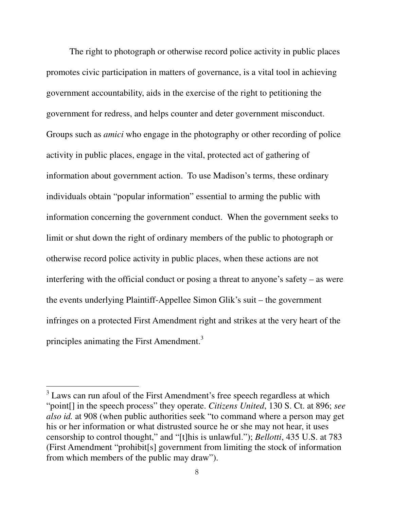The right to photograph or otherwise record police activity in public places promotes civic participation in matters of governance, is a vital tool in achieving government accountability, aids in the exercise of the right to petitioning the government for redress, and helps counter and deter government misconduct. Groups such as *amici* who engage in the photography or other recording of police activity in public places, engage in the vital, protected act of gathering of information about government action. To use Madison's terms, these ordinary individuals obtain "popular information" essential to arming the public with information concerning the government conduct. When the government seeks to limit or shut down the right of ordinary members of the public to photograph or otherwise record police activity in public places, when these actions are not interfering with the official conduct or posing a threat to anyone's safety – as were the events underlying Plaintiff-Appellee Simon Glik's suit – the government infringes on a protected First Amendment right and strikes at the very heart of the principles animating the First Amendment.<sup>3</sup>

 $3$  Laws can run afoul of the First Amendment's free speech regardless at which "point[] in the speech process" they operate. *Citizens United*, 130 S. Ct. at 896; *see also id.* at 908 (when public authorities seek "to command where a person may get his or her information or what distrusted source he or she may not hear, it uses censorship to control thought," and "[t]his is unlawful."); *Bellotti*, 435 U.S. at 783 (First Amendment "prohibit[s] government from limiting the stock of information from which members of the public may draw").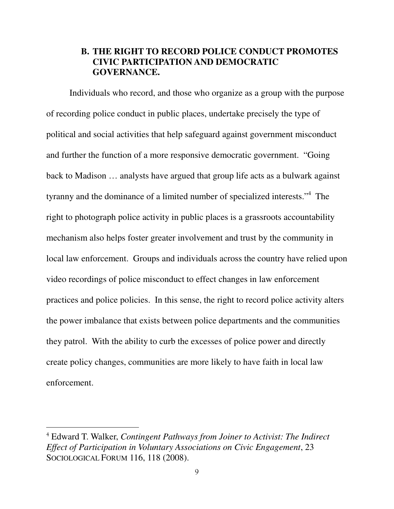## **B. THE RIGHT TO RECORD POLICE CONDUCT PROMOTES CIVIC PARTICIPATION AND DEMOCRATIC GOVERNANCE.**

Individuals who record, and those who organize as a group with the purpose of recording police conduct in public places, undertake precisely the type of political and social activities that help safeguard against government misconduct and further the function of a more responsive democratic government. "Going back to Madison … analysts have argued that group life acts as a bulwark against tyranny and the dominance of a limited number of specialized interests."4 The right to photograph police activity in public places is a grassroots accountability mechanism also helps foster greater involvement and trust by the community in local law enforcement. Groups and individuals across the country have relied upon video recordings of police misconduct to effect changes in law enforcement practices and police policies. In this sense, the right to record police activity alters the power imbalance that exists between police departments and the communities they patrol. With the ability to curb the excesses of police power and directly create policy changes, communities are more likely to have faith in local law enforcement.

<sup>4</sup> Edward T. Walker, *Contingent Pathways from Joiner to Activist: The Indirect Effect of Participation in Voluntary Associations on Civic Engagement*, 23 SOCIOLOGICAL FORUM 116, 118 (2008).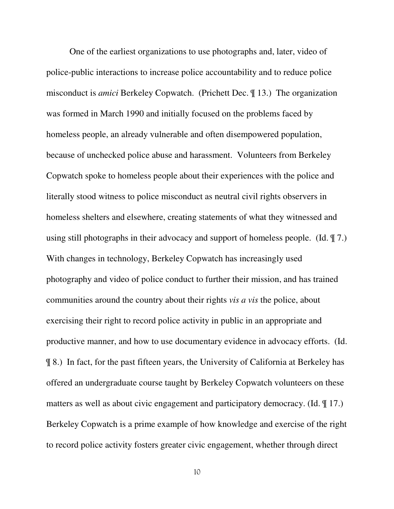One of the earliest organizations to use photographs and, later, video of police-public interactions to increase police accountability and to reduce police misconduct is *amici* Berkeley Copwatch. (Prichett Dec. ¶ 13.) The organization was formed in March 1990 and initially focused on the problems faced by homeless people, an already vulnerable and often disempowered population, because of unchecked police abuse and harassment. Volunteers from Berkeley Copwatch spoke to homeless people about their experiences with the police and literally stood witness to police misconduct as neutral civil rights observers in homeless shelters and elsewhere, creating statements of what they witnessed and using still photographs in their advocacy and support of homeless people. (Id. ¶ 7.) With changes in technology, Berkeley Copwatch has increasingly used photography and video of police conduct to further their mission, and has trained communities around the country about their rights *vis a vis* the police, about exercising their right to record police activity in public in an appropriate and productive manner, and how to use documentary evidence in advocacy efforts. (Id. ¶ 8.) In fact, for the past fifteen years, the University of California at Berkeley has offered an undergraduate course taught by Berkeley Copwatch volunteers on these matters as well as about civic engagement and participatory democracy. (Id. ¶ 17.) Berkeley Copwatch is a prime example of how knowledge and exercise of the right to record police activity fosters greater civic engagement, whether through direct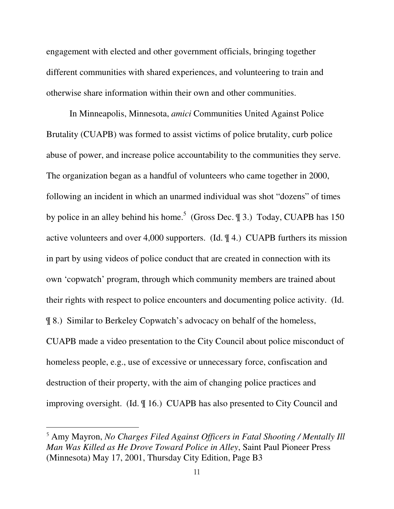engagement with elected and other government officials, bringing together different communities with shared experiences, and volunteering to train and otherwise share information within their own and other communities.

In Minneapolis, Minnesota, *amici* Communities United Against Police Brutality (CUAPB) was formed to assist victims of police brutality, curb police abuse of power, and increase police accountability to the communities they serve. The organization began as a handful of volunteers who came together in 2000, following an incident in which an unarmed individual was shot "dozens" of times by police in an alley behind his home.<sup>5</sup> (Gross Dec.  $\parallel$  3.) Today, CUAPB has 150 active volunteers and over 4,000 supporters. (Id. ¶ 4.) CUAPB furthers its mission in part by using videos of police conduct that are created in connection with its own 'copwatch' program, through which community members are trained about their rights with respect to police encounters and documenting police activity. (Id. ¶ 8.) Similar to Berkeley Copwatch's advocacy on behalf of the homeless, CUAPB made a video presentation to the City Council about police misconduct of homeless people, e.g., use of excessive or unnecessary force, confiscation and destruction of their property, with the aim of changing police practices and improving oversight. (Id. ¶ 16.) CUAPB has also presented to City Council and

<sup>5</sup> Amy Mayron, *No Charges Filed Against Officers in Fatal Shooting / Mentally Ill Man Was Killed as He Drove Toward Police in Alley*, Saint Paul Pioneer Press (Minnesota) May 17, 2001, Thursday City Edition, Page B3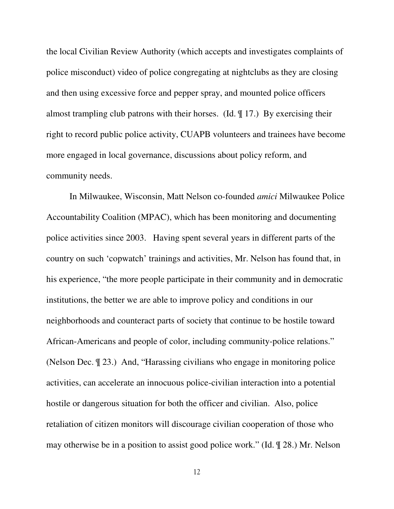the local Civilian Review Authority (which accepts and investigates complaints of police misconduct) video of police congregating at nightclubs as they are closing and then using excessive force and pepper spray, and mounted police officers almost trampling club patrons with their horses. (Id. ¶ 17.) By exercising their right to record public police activity, CUAPB volunteers and trainees have become more engaged in local governance, discussions about policy reform, and community needs.

In Milwaukee, Wisconsin, Matt Nelson co-founded *amici* Milwaukee Police Accountability Coalition (MPAC), which has been monitoring and documenting police activities since 2003. Having spent several years in different parts of the country on such 'copwatch' trainings and activities, Mr. Nelson has found that, in his experience, "the more people participate in their community and in democratic institutions, the better we are able to improve policy and conditions in our neighborhoods and counteract parts of society that continue to be hostile toward African-Americans and people of color, including community-police relations." (Nelson Dec. ¶ 23.) And, "Harassing civilians who engage in monitoring police activities, can accelerate an innocuous police-civilian interaction into a potential hostile or dangerous situation for both the officer and civilian. Also, police retaliation of citizen monitors will discourage civilian cooperation of those who may otherwise be in a position to assist good police work." (Id. ¶ 28.) Mr. Nelson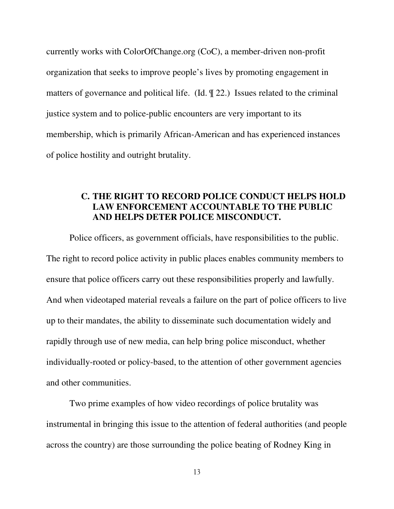currently works with ColorOfChange.org (CoC), a member-driven non-profit organization that seeks to improve people's lives by promoting engagement in matters of governance and political life. (Id. ¶ 22.) Issues related to the criminal justice system and to police-public encounters are very important to its membership, which is primarily African-American and has experienced instances of police hostility and outright brutality.

## **C. THE RIGHT TO RECORD POLICE CONDUCT HELPS HOLD LAW ENFORCEMENT ACCOUNTABLE TO THE PUBLIC AND HELPS DETER POLICE MISCONDUCT.**

Police officers, as government officials, have responsibilities to the public. The right to record police activity in public places enables community members to ensure that police officers carry out these responsibilities properly and lawfully. And when videotaped material reveals a failure on the part of police officers to live up to their mandates, the ability to disseminate such documentation widely and rapidly through use of new media, can help bring police misconduct, whether individually-rooted or policy-based, to the attention of other government agencies and other communities.

Two prime examples of how video recordings of police brutality was instrumental in bringing this issue to the attention of federal authorities (and people across the country) are those surrounding the police beating of Rodney King in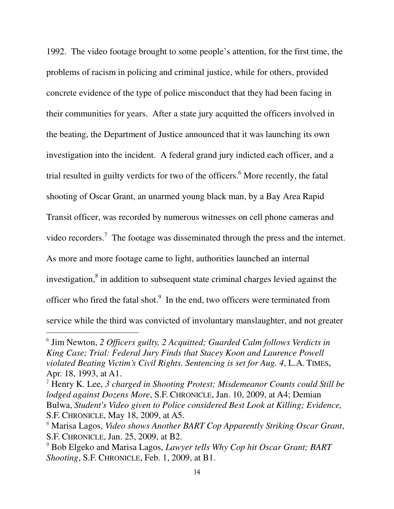1992. The video footage brought to some people's attention, for the first time, the problems of racism in policing and criminal justice, while for others, provided concrete evidence of the type of police misconduct that they had been facing in their communities for years. After a state jury acquitted the officers involved in the beating, the Department of Justice announced that it was launching its own investigation into the incident. A federal grand jury indicted each officer, and a trial resulted in guilty verdicts for two of the officers.<sup>6</sup> More recently, the fatal shooting of Oscar Grant, an unarmed young black man, by a Bay Area Rapid Transit officer, was recorded by numerous witnesses on cell phone cameras and video recorders.<sup>7</sup> The footage was disseminated through the press and the internet. As more and more footage came to light, authorities launched an internal investigation,<sup>8</sup> in addition to subsequent state criminal charges levied against the officer who fired the fatal shot. $9\,$  In the end, two officers were terminated from service while the third was convicted of involuntary manslaughter, and not greater

<sup>6</sup> Jim Newton, *2 Officers guilty, 2 Acquitted; Guarded Calm follows Verdicts in King Case; Trial: Federal Jury Finds that Stacey Koon and Laurence Powell violated Beating Victim's Civil Rights. Sentencing is set for Aug. 4*, L.A. TIMES, Apr. 18, 1993, at A1.

<sup>7</sup> Henry K. Lee, *3 charged in Shooting Protest; Misdemeanor Counts could Still be lodged against Dozens More*, S.F. CHRONICLE, Jan. 10, 2009, at A4; Demian Bulwa, *Student's Video given to Police considered Best Look at Killing; Evidence,* S.F. CHRONICLE, May 18, 2009, at A5.

<sup>8</sup> Marisa Lagos, *Video shows Another BART Cop Apparently Striking Oscar Grant*, S.F. CHRONICLE, Jan. 25, 2009, at B2.

<sup>9</sup> Bob Elgeko and Marisa Lagos, *Lawyer tells Why Cop hit Oscar Grant; BART Shooting*, S.F. CHRONICLE, Feb. 1, 2009, at B1.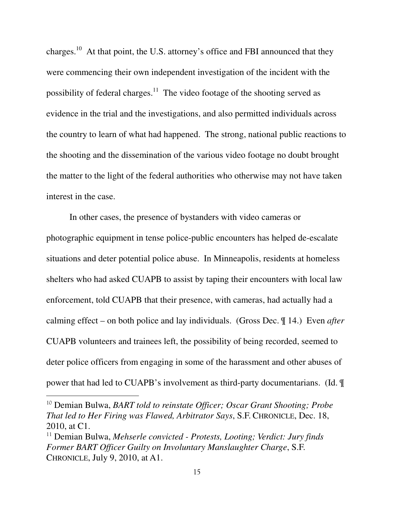charges.10 At that point, the U.S. attorney's office and FBI announced that they were commencing their own independent investigation of the incident with the possibility of federal charges.<sup>11</sup> The video footage of the shooting served as evidence in the trial and the investigations, and also permitted individuals across the country to learn of what had happened. The strong, national public reactions to the shooting and the dissemination of the various video footage no doubt brought the matter to the light of the federal authorities who otherwise may not have taken interest in the case.

In other cases, the presence of bystanders with video cameras or photographic equipment in tense police-public encounters has helped de-escalate situations and deter potential police abuse. In Minneapolis, residents at homeless shelters who had asked CUAPB to assist by taping their encounters with local law enforcement, told CUAPB that their presence, with cameras, had actually had a calming effect – on both police and lay individuals. (Gross Dec. ¶ 14.) Even *after*  CUAPB volunteers and trainees left, the possibility of being recorded, seemed to deter police officers from engaging in some of the harassment and other abuses of power that had led to CUAPB's involvement as third-party documentarians. (Id. ¶

<sup>10</sup> Demian Bulwa, *BART told to reinstate Officer; Oscar Grant Shooting; Probe That led to Her Firing was Flawed, Arbitrator Says*, S.F. CHRONICLE, Dec. 18, 2010, at C1.

<sup>&</sup>lt;sup>11</sup> Demian Bulwa, *Mehserle convicted - Protests, Looting; Verdict: Jury finds Former BART Officer Guilty on Involuntary Manslaughter Charge*, S.F. CHRONICLE, July 9, 2010, at A1.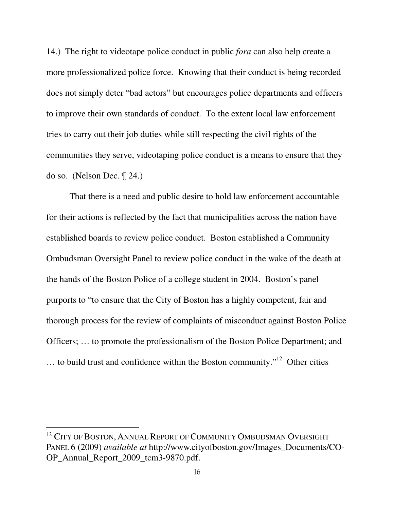14.) The right to videotape police conduct in public *fora* can also help create a more professionalized police force. Knowing that their conduct is being recorded does not simply deter "bad actors" but encourages police departments and officers to improve their own standards of conduct. To the extent local law enforcement tries to carry out their job duties while still respecting the civil rights of the communities they serve, videotaping police conduct is a means to ensure that they do so. (Nelson Dec. ¶ 24.)

That there is a need and public desire to hold law enforcement accountable for their actions is reflected by the fact that municipalities across the nation have established boards to review police conduct. Boston established a Community Ombudsman Oversight Panel to review police conduct in the wake of the death at the hands of the Boston Police of a college student in 2004. Boston's panel purports to "to ensure that the City of Boston has a highly competent, fair and thorough process for the review of complaints of misconduct against Boston Police Officers; … to promote the professionalism of the Boston Police Department; and … to build trust and confidence within the Boston community."12 Other cities

<sup>&</sup>lt;sup>12</sup> CITY OF BOSTON, ANNUAL REPORT OF COMMUNITY OMBUDSMAN OVERSIGHT PANEL 6 (2009) *available at* http://www.cityofboston.gov/Images\_Documents/CO-OP\_Annual\_Report\_2009\_tcm3-9870.pdf.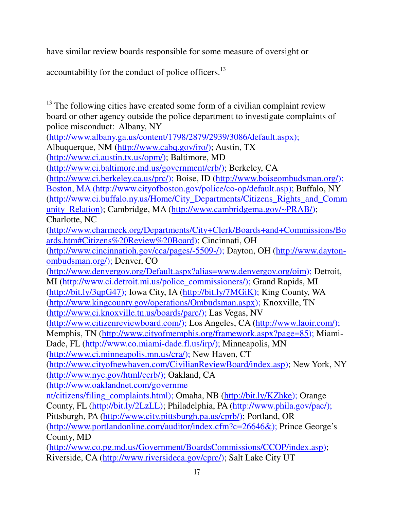have similar review boards responsible for some measure of oversight or

accountability for the conduct of police officers.<sup>13</sup>

l

 $13$  The following cities have created some form of a civilian complaint review board or other agency outside the police department to investigate complaints of police misconduct: Albany, NY (http://www.albany.ga.us/content/1798/2879/2939/3086/default.aspx); Albuquerque, NM (http://www.cabq.gov/iro/); Austin, TX (http://www.ci.austin.tx.us/opm/); Baltimore, MD (http://www.ci.baltimore.md.us/government/crb/); Berkeley, CA (http://www.ci.berkeley.ca.us/prc/); Boise, ID (http://www.boiseombudsman.org/); Boston, MA (http://www.cityofboston.gov/police/co-op/default.asp); Buffalo, NY (http://www.ci.buffalo.ny.us/Home/City\_Departments/Citizens\_Rights\_and\_Comm unity Relation); Cambridge, MA (http://www.cambridgema.gov/~PRAB/); Charlotte, NC (http://www.charmeck.org/Departments/City+Clerk/Boards+and+Commissions/Bo ards.htm#Citizens%20Review%20Board); Cincinnati, OH (http://www.cincinnatioh.gov/cca/pages/-5509-/); Dayton, OH (http://www.daytonombudsman.org/); Denver, CO (http://www.denvergov.org/Default.aspx?alias=www.denvergov.org/oim); Detroit, MI (http://www.ci.detroit.mi.us/police\_commissioners/); Grand Rapids, MI (http://bit.ly/3qpG47); Iowa City, IA (http://bit.ly/7MGiK); King County, WA (http://www.kingcounty.gov/operations/Ombudsman.aspx); Knoxville, TN (http://www.ci.knoxville.tn.us/boards/parc/); Las Vegas, NV (http://www.citizenreviewboard.com/); Los Angeles, CA (http://www.laoir.com/); Memphis, TN (http://www.cityofmemphis.org/framework.aspx?page=85); Miami-Dade, FL (http://www.co.miami-dade.fl.us/irp/); Minneapolis, MN (http://www.ci.minneapolis.mn.us/cra/); New Haven, CT (http://www.cityofnewhaven.com/CivilianReviewBoard/index.asp); New York, NY (http://www.nyc.gov/html/ccrb/); Oakland, CA (http://www.oaklandnet.com/governme nt/citizens/filing\_complaints.html); Omaha, NB (http://bit.ly/KZhke); Orange County, FL (http://bit.ly/2LzLL); Philadelphia, PA (http://www.phila.gov/pac/); Pittsburgh, PA (http://www.city.pittsburgh.pa.us/cprb/); Portland, OR (http://www.portlandonline.com/auditor/index.cfm?c=26646&); Prince George's County, MD (http://www.co.pg.md.us/Government/BoardsCommissions/CCOP/index.asp); Riverside, CA (http://www.riversideca.gov/cprc/); Salt Lake City UT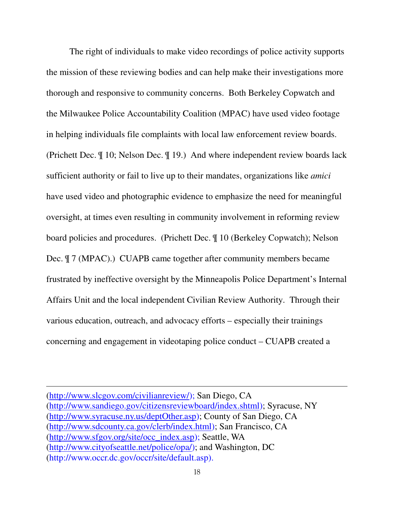The right of individuals to make video recordings of police activity supports the mission of these reviewing bodies and can help make their investigations more thorough and responsive to community concerns. Both Berkeley Copwatch and the Milwaukee Police Accountability Coalition (MPAC) have used video footage in helping individuals file complaints with local law enforcement review boards. (Prichett Dec. ¶ 10; Nelson Dec. ¶ 19.) And where independent review boards lack sufficient authority or fail to live up to their mandates, organizations like *amici* have used video and photographic evidence to emphasize the need for meaningful oversight, at times even resulting in community involvement in reforming review board policies and procedures. (Prichett Dec. ¶ 10 (Berkeley Copwatch); Nelson Dec. ¶ 7 (MPAC).) CUAPB came together after community members became frustrated by ineffective oversight by the Minneapolis Police Department's Internal Affairs Unit and the local independent Civilian Review Authority. Through their various education, outreach, and advocacy efforts – especially their trainings concerning and engagement in videotaping police conduct – CUAPB created a

(http://www.slcgov.com/civilianreview/); San Diego, CA (http://www.sandiego.gov/citizensreviewboard/index.shtml); Syracuse, NY (http://www.syracuse.ny.us/deptOther.asp); County of San Diego, CA (http://www.sdcounty.ca.gov/clerb/index.html); San Francisco, CA (http://www.sfgov.org/site/occ\_index.asp); Seattle, WA (http://www.cityofseattle.net/police/opa/); and Washington, DC (http://www.occr.dc.gov/occr/site/default.asp).

<u>.</u>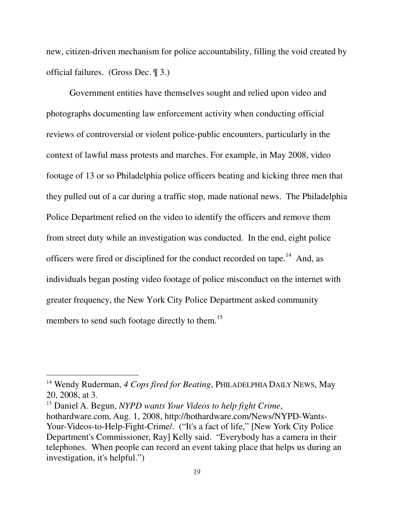new, citizen-driven mechanism for police accountability, filling the void created by official failures. (Gross Dec. ¶ 3.)

Government entities have themselves sought and relied upon video and photographs documenting law enforcement activity when conducting official reviews of controversial or violent police-public encounters, particularly in the context of lawful mass protests and marches. For example, in May 2008, video footage of 13 or so Philadelphia police officers beating and kicking three men that they pulled out of a car during a traffic stop, made national news. The Philadelphia Police Department relied on the video to identify the officers and remove them from street duty while an investigation was conducted. In the end, eight police officers were fired or disciplined for the conduct recorded on tape.<sup>14</sup> And, as individuals began posting video footage of police misconduct on the internet with greater frequency, the New York City Police Department asked community members to send such footage directly to them.<sup>15</sup>

<sup>&</sup>lt;sup>14</sup> Wendy Ruderman, 4 Cops fired for Beating, PHILADELPHIA DAILY NEWS, May 20, 2008, at 3.

<sup>15</sup> Daniel A. Begun, *NYPD wants Your Videos to help fight Crime*, hothardware.com, Aug. 1, 2008, http://hothardware.com/News/NYPD-Wants-Your-Videos-to-Help-Fight-Crime/. ("It's a fact of life," [New York City Police Department's Commissioner, Ray] Kelly said. "Everybody has a camera in their telephones. When people can record an event taking place that helps us during an investigation, it's helpful.")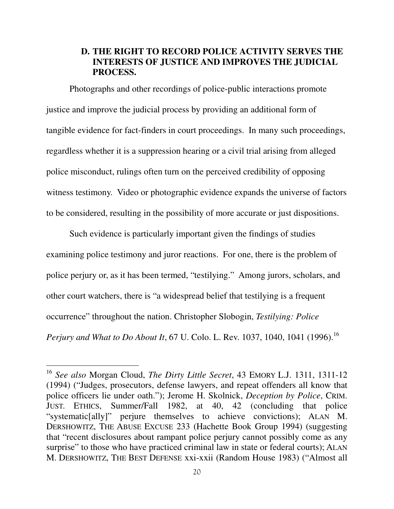## **D. THE RIGHT TO RECORD POLICE ACTIVITY SERVES THE INTERESTS OF JUSTICE AND IMPROVES THE JUDICIAL PROCESS.**

 Photographs and other recordings of police-public interactions promote justice and improve the judicial process by providing an additional form of tangible evidence for fact-finders in court proceedings. In many such proceedings, regardless whether it is a suppression hearing or a civil trial arising from alleged police misconduct, rulings often turn on the perceived credibility of opposing witness testimony. Video or photographic evidence expands the universe of factors to be considered, resulting in the possibility of more accurate or just dispositions.

Such evidence is particularly important given the findings of studies examining police testimony and juror reactions. For one, there is the problem of police perjury or, as it has been termed, "testilying." Among jurors, scholars, and other court watchers, there is "a widespread belief that testilying is a frequent occurrence" throughout the nation. Christopher Slobogin, *Testilying: Police Perjury and What to Do About It*, 67 U. Colo. L. Rev. 1037, 1040, 1041 (1996).<sup>16</sup>

<sup>16</sup> *See also* Morgan Cloud, *The Dirty Little Secret*, 43 EMORY L.J. 1311, 1311-12 (1994) ("Judges, prosecutors, defense lawyers, and repeat offenders all know that police officers lie under oath."); Jerome H. Skolnick, *Deception by Police*, CRIM. JUST. ETHICS, Summer/Fall 1982, at 40, 42 (concluding that police "systematic[ally]" perjure themselves to achieve convictions); ALAN M. DERSHOWITZ, THE ABUSE EXCUSE 233 (Hachette Book Group 1994) (suggesting that "recent disclosures about rampant police perjury cannot possibly come as any surprise" to those who have practiced criminal law in state or federal courts); ALAN M. DERSHOWITZ, THE BEST DEFENSE xxi-xxii (Random House 1983) ("Almost all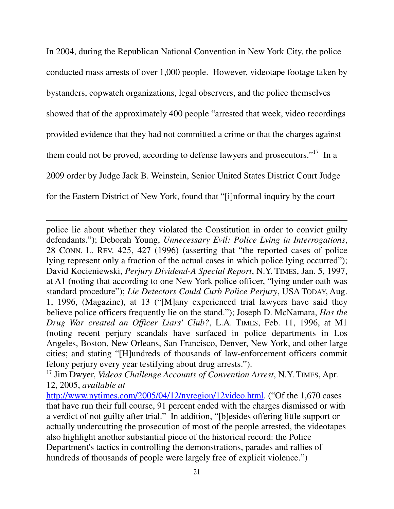In 2004, during the Republican National Convention in New York City, the police conducted mass arrests of over 1,000 people. However, videotape footage taken by bystanders, copwatch organizations, legal observers, and the police themselves showed that of the approximately 400 people "arrested that week, video recordings provided evidence that they had not committed a crime or that the charges against them could not be proved, according to defense lawyers and prosecutors."<sup>17</sup> In a 2009 order by Judge Jack B. Weinstein, Senior United States District Court Judge for the Eastern District of New York, found that "[i]nformal inquiry by the court

police lie about whether they violated the Constitution in order to convict guilty defendants."); Deborah Young, *Unnecessary Evil: Police Lying in Interrogations*, 28 CONN. L. REV. 425, 427 (1996) (asserting that "the reported cases of police lying represent only a fraction of the actual cases in which police lying occurred"); David Kocieniewski, *Perjury Dividend-A Special Report*, N.Y. TIMES, Jan. 5, 1997, at A1 (noting that according to one New York police officer, "lying under oath was standard procedure"); *Lie Detectors Could Curb Police Perjury*, USA TODAY, Aug. 1, 1996, (Magazine), at 13 ("[M]any experienced trial lawyers have said they believe police officers frequently lie on the stand."); Joseph D. McNamara, *Has the Drug War created an Officer Liars' Club?*, L.A. TIMES, Feb. 11, 1996, at M1 (noting recent perjury scandals have surfaced in police departments in Los Angeles, Boston, New Orleans, San Francisco, Denver, New York, and other large cities; and stating "[H]undreds of thousands of law-enforcement officers commit felony perjury every year testifying about drug arrests.").

<u>.</u>

<sup>17</sup> Jim Dwyer, *Videos Challenge Accounts of Convention Arrest*, N.Y. TIMES, Apr. 12, 2005, *available at* 

http://www.nytimes.com/2005/04/12/nyregion/12video.html. ("Of the 1,670 cases") that have run their full course, 91 percent ended with the charges dismissed or with a verdict of not guilty after trial." In addition, "[b]esides offering little support or actually undercutting the prosecution of most of the people arrested, the videotapes also highlight another substantial piece of the historical record: the Police Department's tactics in controlling the demonstrations, parades and rallies of hundreds of thousands of people were largely free of explicit violence.")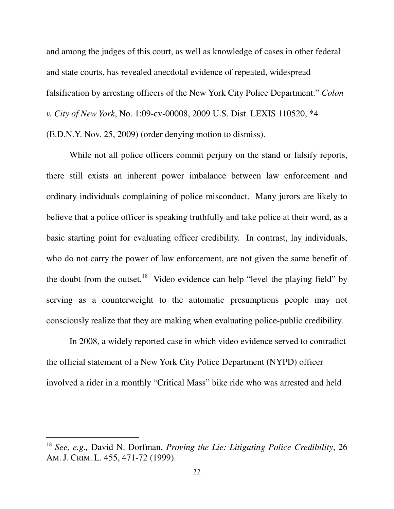and among the judges of this court, as well as knowledge of cases in other federal and state courts, has revealed anecdotal evidence of repeated, widespread falsification by arresting officers of the New York City Police Department." *Colon v. City of New York*, No. 1:09-cv-00008, 2009 U.S. Dist. LEXIS 110520, \*4 (E.D.N.Y. Nov. 25, 2009) (order denying motion to dismiss).

 While not all police officers commit perjury on the stand or falsify reports, there still exists an inherent power imbalance between law enforcement and ordinary individuals complaining of police misconduct. Many jurors are likely to believe that a police officer is speaking truthfully and take police at their word, as a basic starting point for evaluating officer credibility. In contrast, lay individuals, who do not carry the power of law enforcement, are not given the same benefit of the doubt from the outset.<sup>18</sup> Video evidence can help "level the playing field" by serving as a counterweight to the automatic presumptions people may not consciously realize that they are making when evaluating police-public credibility.

In 2008, a widely reported case in which video evidence served to contradict the official statement of a New York City Police Department (NYPD) officer involved a rider in a monthly "Critical Mass" bike ride who was arrested and held

<sup>18</sup> *See, e.g.,* David N. Dorfman, *Proving the Lie: Litigating Police Credibility*, 26 AM. J. CRIM. L. 455, 471-72 (1999).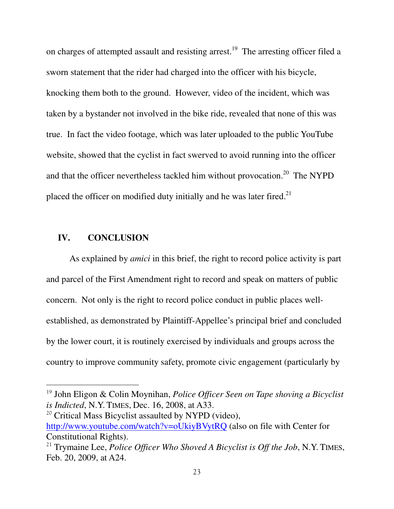on charges of attempted assault and resisting arrest.<sup>19</sup> The arresting officer filed a sworn statement that the rider had charged into the officer with his bicycle, knocking them both to the ground. However, video of the incident, which was taken by a bystander not involved in the bike ride, revealed that none of this was true. In fact the video footage, which was later uploaded to the public YouTube website, showed that the cyclist in fact swerved to avoid running into the officer and that the officer nevertheless tackled him without provocation.<sup>20</sup> The NYPD placed the officer on modified duty initially and he was later fired.<sup>21</sup>

## **IV. CONCLUSION**

 $\overline{a}$ 

As explained by *amici* in this brief, the right to record police activity is part and parcel of the First Amendment right to record and speak on matters of public concern. Not only is the right to record police conduct in public places wellestablished, as demonstrated by Plaintiff-Appellee's principal brief and concluded by the lower court, it is routinely exercised by individuals and groups across the country to improve community safety, promote civic engagement (particularly by

<sup>20</sup> Critical Mass Bicyclist assaulted by NYPD (video), http://www.youtube.com/watch?v=oUkiyBVytRQ (also on file with Center for Constitutional Rights).

<sup>19</sup> John Eligon & Colin Moynihan, *Police Officer Seen on Tape shoving a Bicyclist is Indicted*, N.Y. TIMES, Dec. 16, 2008, at A33.

<sup>21</sup> Trymaine Lee, *Police Officer Who Shoved A Bicyclist is Off the Job*, N.Y. TIMES, Feb. 20, 2009, at A24.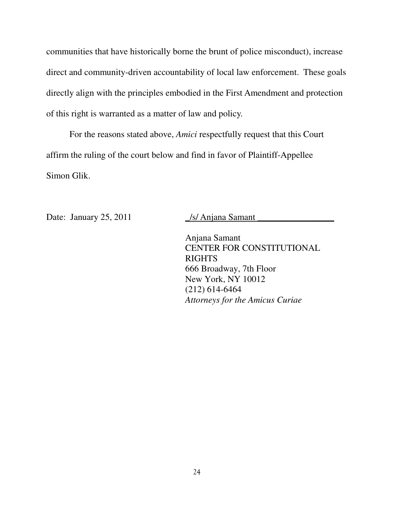communities that have historically borne the brunt of police misconduct), increase direct and community-driven accountability of local law enforcement. These goals directly align with the principles embodied in the First Amendment and protection of this right is warranted as a matter of law and policy.

For the reasons stated above, *Amici* respectfully request that this Court affirm the ruling of the court below and find in favor of Plaintiff-Appellee Simon Glik.

Date: January 25, 2011 /s/ Anjana Samant

Anjana Samant CENTER FOR CONSTITUTIONAL RIGHTS 666 Broadway, 7th Floor New York, NY 10012 (212) 614-6464 *Attorneys for the Amicus Curiae*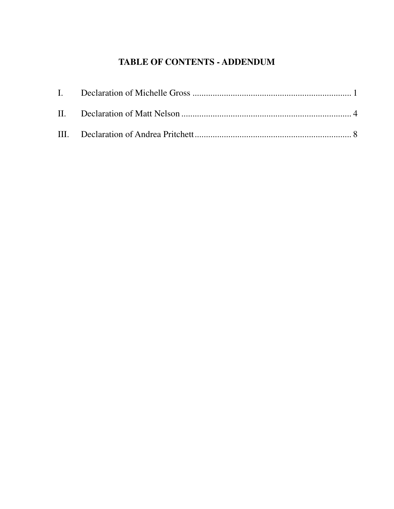# **TABLE OF CONTENTS - ADDENDUM**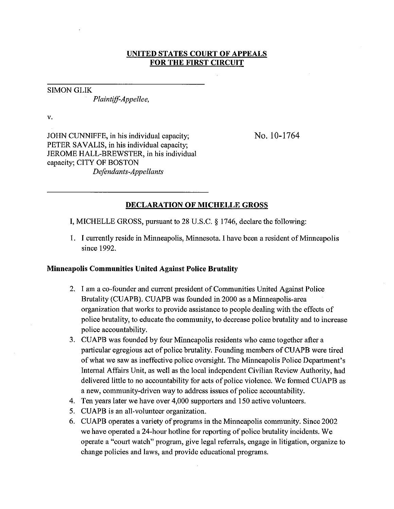#### **UNITED STATES COURT OF APPEALS FOR THE FIRST CIRCUIT**

#### **SIMON GLIK**

Plaintiff-Appellee,

v.

JOHN CUNNIFFE, in his individual capacity; PETER SAVALIS, in his individual capacity; JEROME HALL-BREWSTER, in his individual capacity; CITY OF BOSTON Defendants-Appellants

No. 10-1764

### **DECLARATION OF MICHELLE GROSS**

I, MICHELLE GROSS, pursuant to 28 U.S.C. § 1746, declare the following:

1. I currently reside in Minneapolis, Minnesota. I have been a resident of Minneapolis since 1992.

#### **Minneapolis Communities United Against Police Brutality**

- 2. I am a co-founder and current president of Communities United Against Police Brutality (CUAPB). CUAPB was founded in 2000 as a Minneapolis-area organization that works to provide assistance to people dealing with the effects of police brutality, to educate the community, to decrease police brutality and to increase police accountability.
- 3. CUAPB was founded by four Minneapolis residents who came together after a particular egregious act of police brutality. Founding members of CUAPB were tired of what we saw as ineffective police oversight. The Minneapolis Police Department's Internal Affairs Unit, as well as the local independent Civilian Review Authority, had delivered little to no accountability for acts of police violence. We formed CUAPB as a new, community-driven way to address issues of police accountability.
- 4. Ten years later we have over 4,000 supporters and 150 active volunteers.
- 5. CUAPB is an all-volunteer organization.
- 6. CUAPB operates a variety of programs in the Minneapolis community. Since 2002 we have operated a 24-hour hotline for reporting of police brutality incidents. We operate a "court watch" program, give legal referrals, engage in litigation, organize to change policies and laws, and provide educational programs.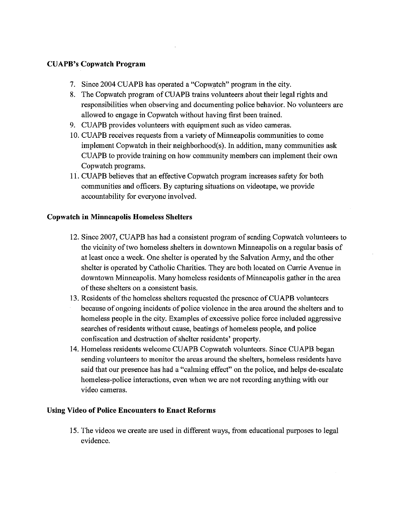## **CUAPB's Copwatch Program**

- 7. Since 2004 CUAPB has operated a "Copwatch" program in the city.
- 8. The Copwatch program of CUAPB trains volunteers about their legal rights and responsibilities when observing and documenting police behavior. No volunteers are allowed to engage in Copwatch without having first been trained.
- 9. CUAPB provides volunteers with equipment such as video cameras.
- 10. CUAPB receives requests from a variety of Minneapolis communities to come implement Copwatch in their neighborhood(s). In addition, many communities ask CUAPB to provide training on how community members can implement their own Copwatch programs.
- 11. CUAPB believes that an effective Copwatch program increases safety for both communities and officers. By capturing situations on videotape, we provide accountability for everyone involved.

### **Copwatch in Minneapolis Homeless Shelters**

- 12. Since 2007, CUAPB has had a consistent program of sending Copwatch volunteers to the vicinity of two homeless shelters in downtown Minneapolis on a regular basis of at least once a week. One shelter is operated by the Salvation Army, and the other shelter is operated by Catholic Charities. They are both located on Currie Avenue in downtown Minneapolis. Many homeless residents of Minneapolis gather in the area of these shelters on a consistent basis.
- 13. Residents of the homeless shelters requested the presence of CUAPB volunteers because of ongoing incidents of police violence in the area around the shelters and to homeless people in the city. Examples of excessive police force included aggressive searches of residents without cause, beatings of homeless people, and police confiscation and destruction of shelter residents' property.
- 14. Homeless residents welcome CUAPB Copwatch volunteers. Since CUAPB began sending volunteers to monitor the areas around the shelters, homeless residents have said that our presence has had a "calming effect" on the police, and helps de-escalate homeless-police interactions, even when we are not recording anything with our video cameras.

### **Using Video of Police Encounters to Enact Reforms**

15. The videos we create are used in different ways, from educational purposes to legal evidence.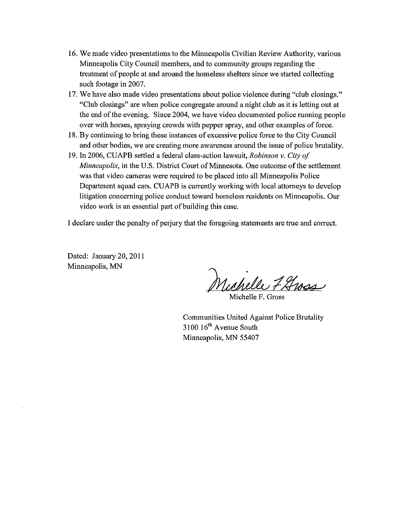- 16. We made video presentations to the Minneapolis Civilian Review Authority, various Minneapolis City Council members, and to community groups regarding the treatment of people at and around the homeless shelters since we started collecting such footage in 2007.
- 17. We have also made video presentations about police violence during "club closings." "Club closings" are when police congregate around a night club as it is letting out at the end of the evening. Since 2004, we have video documented police running people over with horses, spraying crowds with pepper spray, and other examples of force.
- 18. By continuing to bring these instances of excessive police force to the City Council and other bodies, we are creating more awareness around the issue of police brutality.
- 19. In 2006, CUAPB settled a federal class-action lawsuit, Robinson v. City of Minneapolis, in the U.S. District Court of Minnesota. One outcome of the settlement was that video cameras were required to be placed into all Minneapolis Police Department squad cars. CUAPB is currently working with local attorneys to develop litigation concerning police conduct toward homeless residents on Minneapolis. Our video work is an essential part of building this case.

I declare under the penalty of perjury that the foregoing statements are true and correct.

Dated: January 20, 2011 Minneapolis, MN

Michelle 7 Gross

Michelle F. Gross

Communities United Against Police Brutality 3100 16<sup>th</sup> Avenue South Minneapolis, MN 55407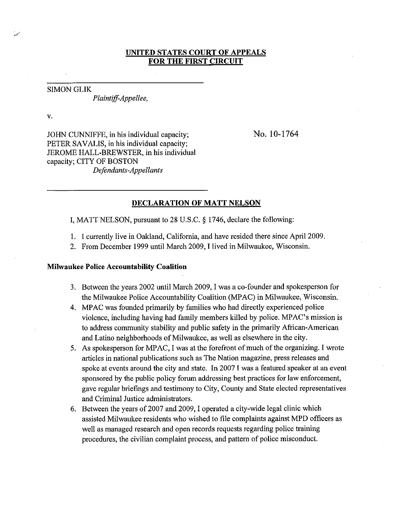#### UNITED STATES COURT OF APPEALS **FOR THE FIRST CIRCUIT**

#### **SIMON GLIK**

Plaintiff-Appellee,

 $\overline{\mathbf{v}}$ .

JOHN CUNNIFFE, in his individual capacity; PETER SAVALIS, in his individual capacity; JEROME HALL-BREWSTER, in his individual capacity; CITY OF BOSTON Defendants-Appellants

No. 10-1764

#### **DECLARATION OF MATT NELSON**

I, MATT NELSON, pursuant to 28 U.S.C. § 1746, declare the following:

- 1. I currently live in Oakland, California, and have resided there since April 2009.
- 2. From December 1999 until March 2009, I lived in Milwaukee, Wisconsin.

#### **Milwaukee Police Accountability Coalition**

- 3. Between the years 2002 until March 2009, I was a co-founder and spokesperson for the Milwaukee Police Accountability Coalition (MPAC) in Milwaukee, Wisconsin.
- 4. MPAC was founded primarily by families who had directly experienced police violence, including having had family members killed by police. MPAC's mission is to address community stability and public safety in the primarily African-American and Latino neighborhoods of Milwaukee, as well as elsewhere in the city.
- 5. As spokesperson for MPAC, I was at the forefront of much of the organizing. I wrote articles in national publications such as The Nation magazine, press releases and spoke at events around the city and state. In 2007 I was a featured speaker at an event sponsored by the public policy forum addressing best practices for law enforcement, gave regular briefings and testimony to City, County and State elected representatives and Criminal Justice administrators.
- 6. Between the years of 2007 and 2009, I operated a city-wide legal clinic which assisted Milwaukee residents who wished to file complaints against MPD officers as well as managed research and open records requests regarding police training procedures, the civilian complaint process, and pattern of police misconduct.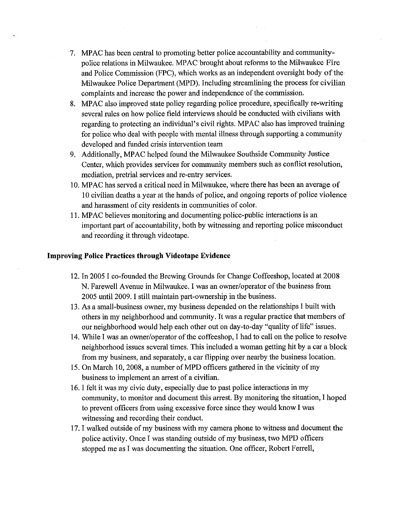- 7. MPAC has been central to promoting better police accountability and communitypolice relations in Milwaukee. MPAC brought about reforms to the Milwaukee Fire and Police Commission (FPC), which works as an independent oversight body of the Milwaukee Police Department (MPD). Including streamlining the process for civilian complaints and increase the power and independence of the commission.
- 8. MPAC also improved state policy regarding police procedure, specifically re-writing several rules on how police field interviews should be conducted with civilians with regarding to protecting an individual's civil rights. MPAC also has improved training for police who deal with people with mental illness through supporting a community developed and funded crisis intervention team
- 9. Additionally, MPAC helped found the Milwaukee Southside Community Justice Center, which provides services for community members such as conflict resolution, mediation, pretrial services and re-entry services.
- 10. MPAC has served a critical need in Milwaukee, where there has been an average of 10 civilian deaths a year at the hands of police, and ongoing reports of police violence and harassment of city residents in communities of color.
- 11. MPAC believes monitoring and documenting police-public interactions is an important part of accountability, both by witnessing and reporting police misconduct and recording it through videotape.

#### **Improving Police Practices through Videotape Evidence**

- 12. In 2005 I co-founded the Brewing Grounds for Change Coffeeshop, located at 2008 N. Farewell Avenue in Milwaukee. I was an owner/operator of the business from 2005 until 2009. I still maintain part-ownership in the business.
- 13. As a small-business owner, my business depended on the relationships I built with others in my neighborhood and community. It was a regular practice that members of our neighborhood would help each other out on day-to-day "quality of life" issues.
- 14. While I was an owner/operator of the coffeeshop, I had to call on the police to resolve neighborhood issues several times. This included a woman getting hit by a car a block from my business, and separately, a car flipping over nearby the business location.
- 15. On March 10, 2008, a number of MPD officers gathered in the vicinity of my business to implement an arrest of a civilian.
- 16. I felt it was my civic duty, especially due to past police interactions in my community, to monitor and document this arrest. By monitoring the situation, I hoped to prevent officers from using excessive force since they would know I was witnessing and recording their conduct.
- 17. I walked outside of my business with my camera phone to witness and document the police activity. Once I was standing outside of my business, two MPD officers stopped me as I was documenting the situation. One officer, Robert Ferrell,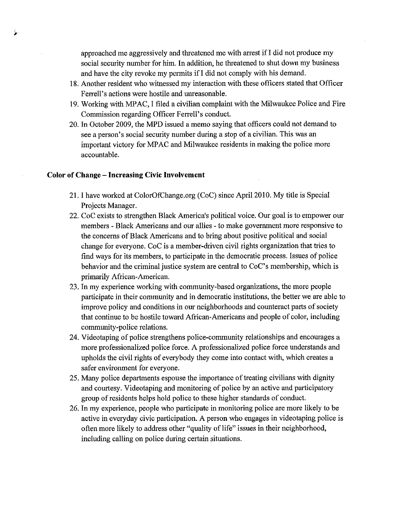approached me aggressively and threatened me with arrest if I did not produce my social security number for him. In addition, he threatened to shut down my business and have the city revoke my permits if I did not comply with his demand.

- 18. Another resident who witnessed my interaction with these officers stated that Officer Ferrell's actions were hostile and unreasonable.
- 19. Working with MPAC, I filed a civilian complaint with the Milwaukee Police and Fire Commission regarding Officer Ferrell's conduct.
- 20. In October 2009, the MPD issued a memo saying that officers could not demand to see a person's social security number during a stop of a civilian. This was an important victory for MPAC and Milwaukee residents in making the police more accountable.

#### **Color of Change – Increasing Civic Involvement**

- 21. I have worked at ColorOfChange.org (CoC) since April 2010. My title is Special Projects Manager.
- 22. CoC exists to strengthen Black America's political voice. Our goal is to empower our members - Black Americans and our allies - to make government more responsive to the concerns of Black Americans and to bring about positive political and social change for everyone. CoC is a member-driven civil rights organization that tries to find ways for its members, to participate in the democratic process. Issues of police behavior and the criminal justice system are central to CoC's membership, which is primarily African-American.
- 23. In my experience working with community-based organizations, the more people participate in their community and in democratic institutions, the better we are able to improve policy and conditions in our neighborhoods and counteract parts of society that continue to be hostile toward African-Americans and people of color, including community-police relations.
- 24. Videotaping of police strengthens police-community relationships and encourages a more professionalized police force. A professionalized police force understands and upholds the civil rights of everybody they come into contact with, which creates a safer environment for everyone.
- 25. Many police departments espouse the importance of treating civilians with dignity and courtesy. Videotaping and monitoring of police by an active and participatory group of residents helps hold police to these higher standards of conduct.
- 26. In my experience, people who participate in monitoring police are more likely to be active in everyday civic participation. A person who engages in videotaping police is often more likely to address other "quality of life" issues in their neighborhood, including calling on police during certain situations.

رک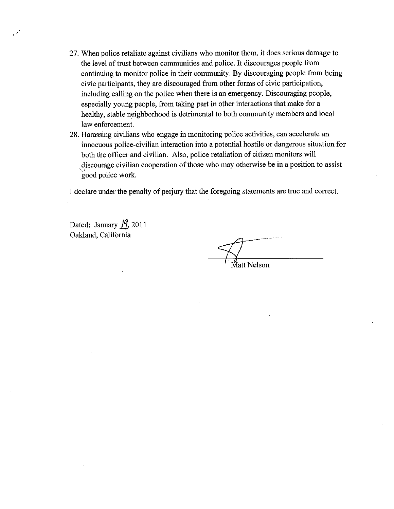- 27. When police retaliate against civilians who monitor them, it does serious damage to the level of trust between communities and police. It discourages people from continuing to monitor police in their community. By discouraging people from being civic participants, they are discouraged from other forms of civic participation, including calling on the police when there is an emergency. Discouraging people, especially young people, from taking part in other interactions that make for a healthy, stable neighborhood is detrimental to both community members and local law enforcement.
- 28. Harassing civilians who engage in monitoring police activities, can accelerate an innocuous police-civilian interaction into a potential hostile or dangerous situation for both the officer and civilian. Also, police retaliation of citizen monitors will discourage civilian cooperation of those who may otherwise be in a position to assist good police work.

I declare under the penalty of perjury that the foregoing statements are true and correct.

Dated: January  $/9$ , 2011 Oakland, California

⁄iatt Nelson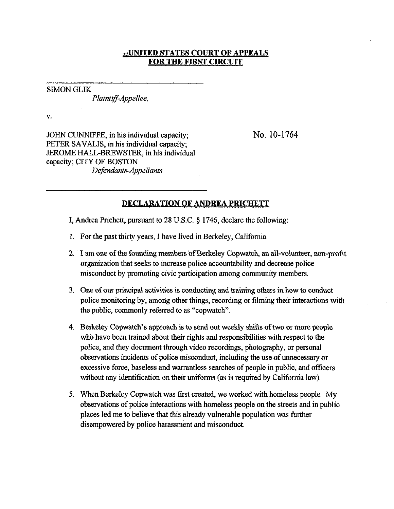### **#UNITED STATES COURT OF APPEALS FOR THE FIRST CIRCUIT**

**SIMON GLIK** 

Plaintiff-Appellee,

V.

JOHN CUNNIFFE, in his individual capacity; PETER SAVALIS, in his individual capacity; JEROME HALL-BREWSTER, in his individual capacity; CITY OF BOSTON Defendants-Appellants

No. 10-1764

### **DECLARATION OF ANDREA PRICHETT**

I, Andrea Prichett, pursuant to 28 U.S.C. § 1746, declare the following:

- 1. For the past thirty years, I have lived in Berkeley, California.
- 2. I am one of the founding members of Berkeley Copwatch, an all-volunteer, non-profit organization that seeks to increase police accountability and decrease police misconduct by promoting civic participation among community members.
- 3. One of our principal activities is conducting and training others in how to conduct police monitoring by, among other things, recording or filming their interactions with the public, commonly referred to as "copwatch".
- 4. Berkeley Copwatch's approach is to send out weekly shifts of two or more people who have been trained about their rights and responsibilities with respect to the police, and they document through video recordings, photography, or personal observations incidents of police misconduct, including the use of unnecessary or excessive force, baseless and warrantless searches of people in public, and officers without any identification on their uniforms (as is required by California law).
- 5. When Berkeley Copwatch was first created, we worked with homeless people. My observations of police interactions with homeless people on the streets and in public places led me to believe that this already vulnerable population was further disempowered by police harassment and misconduct.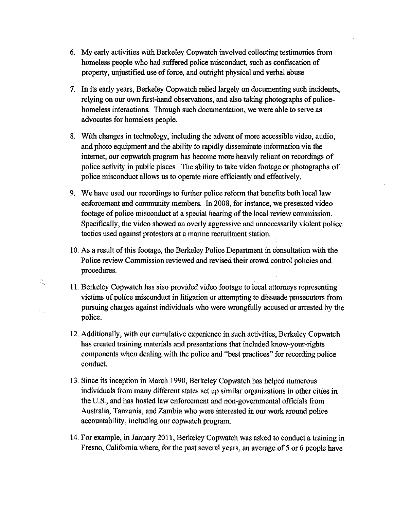- 6. My early activities with Berkeley Copwatch involved collecting testimonies from homeless people who had suffered police misconduct, such as confiscation of property, unjustified use of force, and outright physical and verbal abuse.
- 7. In its early years, Berkeley Copwatch relied largely on documenting such incidents, relying on our own first-hand observations, and also taking photographs of policehomeless interactions. Through such documentation, we were able to serve as advocates for homeless people.
- 8. With changes in technology, including the advent of more accessible video, audio, and photo equipment and the ability to rapidly disseminate information via the internet, our copwatch program has become more heavily reliant on recordings of police activity in public places. The ability to take video footage or photographs of police misconduct allows us to operate more efficiently and effectively.
- 9. We have used our recordings to further police reform that benefits both local law enforcement and community members. In 2008, for instance, we presented video footage of police misconduct at a special hearing of the local review commission. Specifically, the video showed an overly aggressive and unnecessarily violent police tactics used against protestors at a marine recruitment station.
- 10. As a result of this footage, the Berkeley Police Department in consultation with the Police review Commission reviewed and revised their crowd control policies and procedures.

 $\mathbb{R}$ 

- 11. Berkeley Copwatch has also provided video footage to local attorneys representing victims of police misconduct in litigation or attempting to dissuade prosecutors from pursuing charges against individuals who were wrongfully accused or arrested by the police.
- 12. Additionally, with our cumulative experience in such activities, Berkeley Copwatch has created training materials and presentations that included know-your-rights components when dealing with the police and "best practices" for recording police conduct.
- 13. Since its inception in March 1990, Berkeley Copwatch has helped numerous individuals from many different states set up similar organizations in other cities in the U.S., and has hosted law enforcement and non-governmental officials from Australia, Tanzania, and Zambia who were interested in our work around police accountability, including our copwatch program.
- 14. For example, in January 2011, Berkeley Copwatch was asked to conduct a training in Fresno, California where, for the past several years, an average of 5 or 6 people have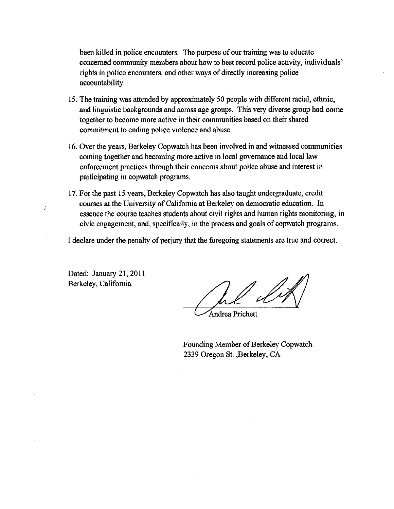been killed in police encounters. The purpose of our training was to educate concerned community members about how to best record police activity, individuals' rights in police encounters, and other ways of directly increasing police accountability.

- 15. The training was attended by approximately 50 people with different racial, ethnic, and linguistic backgrounds and across age groups. This very diverse group had come together to become more active in their communities based on their shared commitment to ending police violence and abuse.
- 16. Over the years, Berkeley Copwatch has been involved in and witnessed communities coming together and becoming more active in local governance and local law enforcement practices through their concerns about police abuse and interest in participating in copwatch programs.
- 17. For the past 15 years, Berkeley Copwatch has also taught undergraduate, credit courses at the University of California at Berkeley on democratic education. In essence the course teaches students about civil rights and human rights monitoring, in civic engagement, and, specifically, in the process and goals of copwatch programs.

I declare under the penalty of perjury that the foregoing statements are true and correct.

Dated: January 21, 2011 Berkeley, California

Ą

Andrea Prichett

Founding Member of Berkeley Copwatch 2339 Oregon St., Berkeley, CA